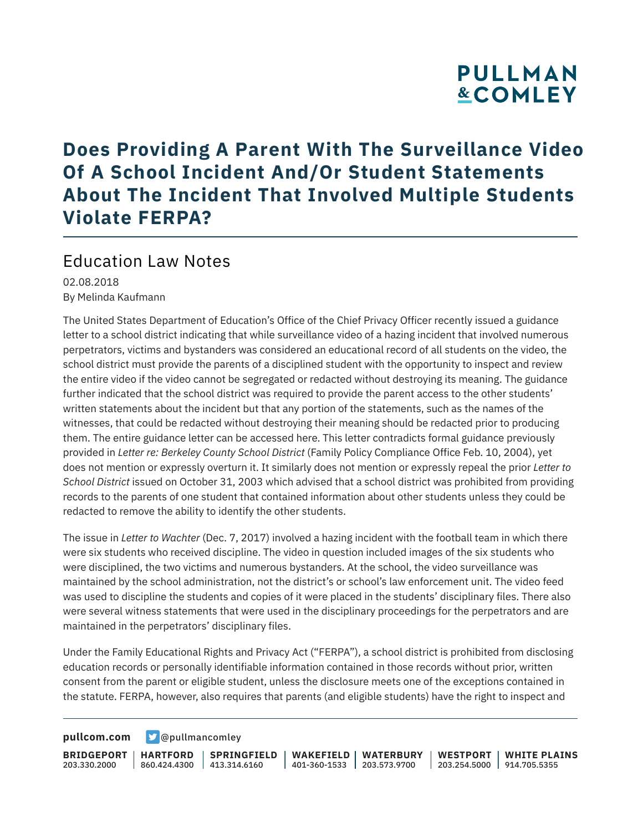# **PULLMAN &COMLEY**

### **Does Providing A Parent With The Surveillance Video Of A School Incident And/Or Student Statements About The Incident That Involved Multiple Students Violate FERPA?**

### Education Law Notes

02.08.2018 By Melinda Kaufmann

The United States Department of Education's Office of the Chief Privacy Officer recently issued a guidance letter to a school district indicating that while surveillance video of a hazing incident that involved numerous perpetrators, victims and bystanders was considered an educational record of all students on the video, the school district must provide the parents of a disciplined student with the opportunity to inspect and review the entire video if the video cannot be segregated or redacted without destroying its meaning. The guidance further indicated that the school district was required to provide the parent access to the other students' written statements about the incident but that any portion of the statements, such as the names of the witnesses, that could be redacted without destroying their meaning should be redacted prior to producing them. The entire guidance letter can be accessed here. This letter contradicts formal guidance previously provided in *Letter re: Berkeley County School District* (Family Policy Compliance Office Feb. 10, 2004), yet does not mention or expressly overturn it. It similarly does not mention or expressly repeal the prior *Letter to School District* issued on October 31, 2003 which advised that a school district was prohibited from providing records to the parents of one student that contained information about other students unless they could be redacted to remove the ability to identify the other students.

The issue in *Letter to Wachter* (Dec. 7, 2017) involved a hazing incident with the football team in which there were six students who received discipline. The video in question included images of the six students who were disciplined, the two victims and numerous bystanders. At the school, the video surveillance was maintained by the school administration, not the district's or school's law enforcement unit. The video feed was used to discipline the students and copies of it were placed in the students' disciplinary files. There also were several witness statements that were used in the disciplinary proceedings for the perpetrators and are maintained in the perpetrators' disciplinary files.

Under the Family Educational Rights and Privacy Act ("FERPA"), a school district is prohibited from disclosing education records or personally identifiable information contained in those records without prior, written consent from the parent or eligible student, unless the disclosure meets one of the exceptions contained in the statute. FERPA, however, also requires that parents (and eligible students) have the right to inspect and

**[pullcom.com](https://www.pullcom.com) g** [@pullmancomley](https://twitter.com/PullmanComley)

**BRIDGEPORT HARTFORD** 203.330.2000 860.424.4300 413.314.6160 **SPRINGFIELD WAKEFIELD WATERBURY** 401-360-1533 203.573.9700 **WESTPORT WHITE PLAINS** 203.254.5000 914.705.5355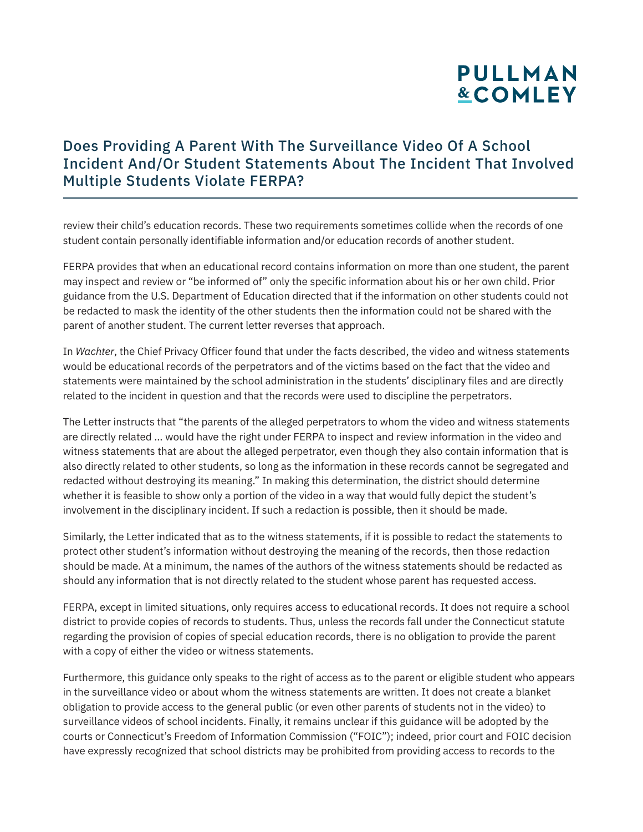## **PULLMAN &COMLEY**

#### Does Providing A Parent With The Surveillance Video Of A School Incident And/Or Student Statements About The Incident That Involved Multiple Students Violate FERPA?

review their child's education records. These two requirements sometimes collide when the records of one student contain personally identifiable information and/or education records of another student.

FERPA provides that when an educational record contains information on more than one student, the parent may inspect and review or "be informed of" only the specific information about his or her own child. Prior guidance from the U.S. Department of Education directed that if the information on other students could not be redacted to mask the identity of the other students then the information could not be shared with the parent of another student. The current letter reverses that approach.

In *Wachter*, the Chief Privacy Officer found that under the facts described, the video and witness statements would be educational records of the perpetrators and of the victims based on the fact that the video and statements were maintained by the school administration in the students' disciplinary files and are directly related to the incident in question and that the records were used to discipline the perpetrators.

The Letter instructs that "the parents of the alleged perpetrators to whom the video and witness statements are directly related … would have the right under FERPA to inspect and review information in the video and witness statements that are about the alleged perpetrator, even though they also contain information that is also directly related to other students, so long as the information in these records cannot be segregated and redacted without destroying its meaning." In making this determination, the district should determine whether it is feasible to show only a portion of the video in a way that would fully depict the student's involvement in the disciplinary incident. If such a redaction is possible, then it should be made.

Similarly, the Letter indicated that as to the witness statements, if it is possible to redact the statements to protect other student's information without destroying the meaning of the records, then those redaction should be made. At a minimum, the names of the authors of the witness statements should be redacted as should any information that is not directly related to the student whose parent has requested access.

FERPA, except in limited situations, only requires access to educational records. It does not require a school district to provide copies of records to students. Thus, unless the records fall under the Connecticut statute regarding the provision of copies of special education records, there is no obligation to provide the parent with a copy of either the video or witness statements.

Furthermore, this guidance only speaks to the right of access as to the parent or eligible student who appears in the surveillance video or about whom the witness statements are written. It does not create a blanket obligation to provide access to the general public (or even other parents of students not in the video) to surveillance videos of school incidents. Finally, it remains unclear if this guidance will be adopted by the courts or Connecticut's Freedom of Information Commission ("FOIC"); indeed, prior court and FOIC decision have expressly recognized that school districts may be prohibited from providing access to records to the